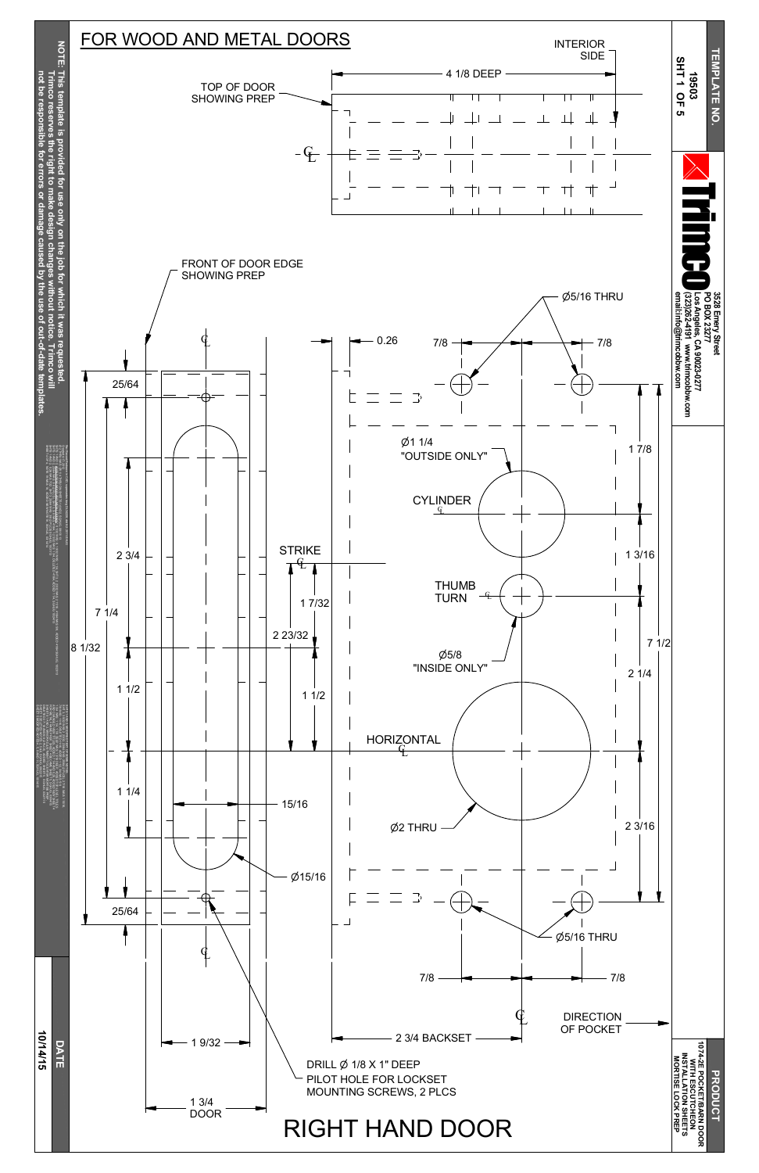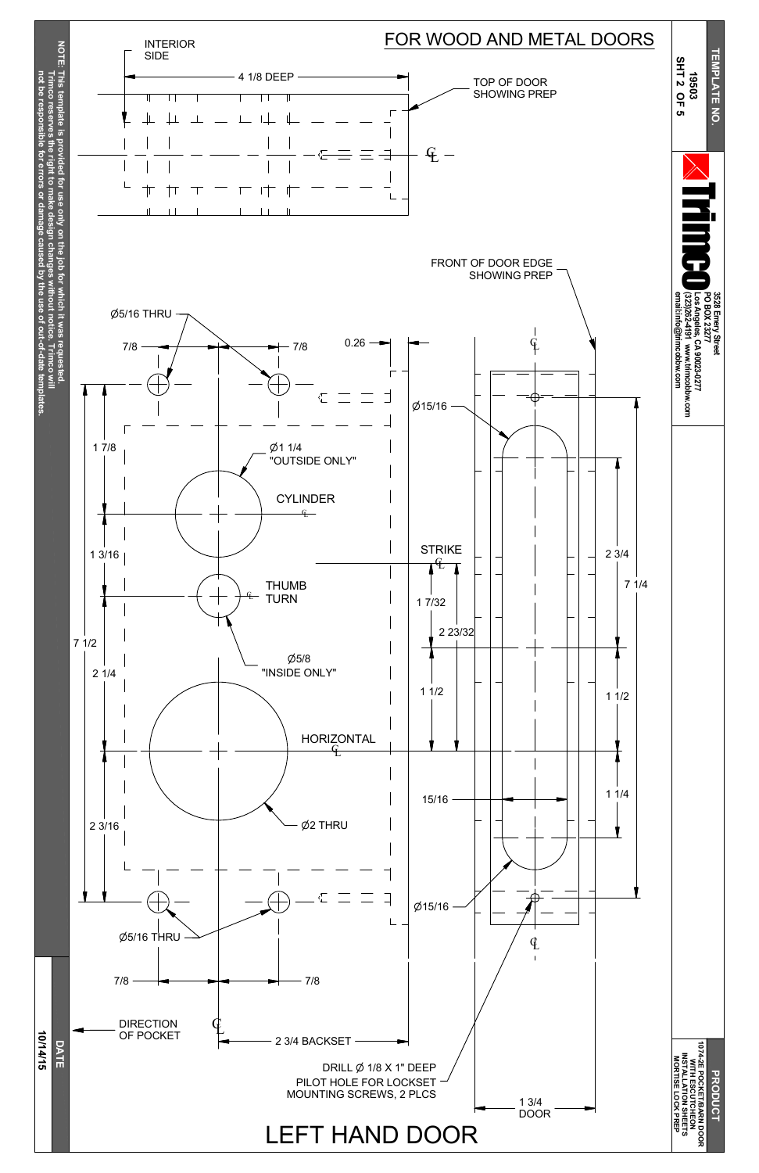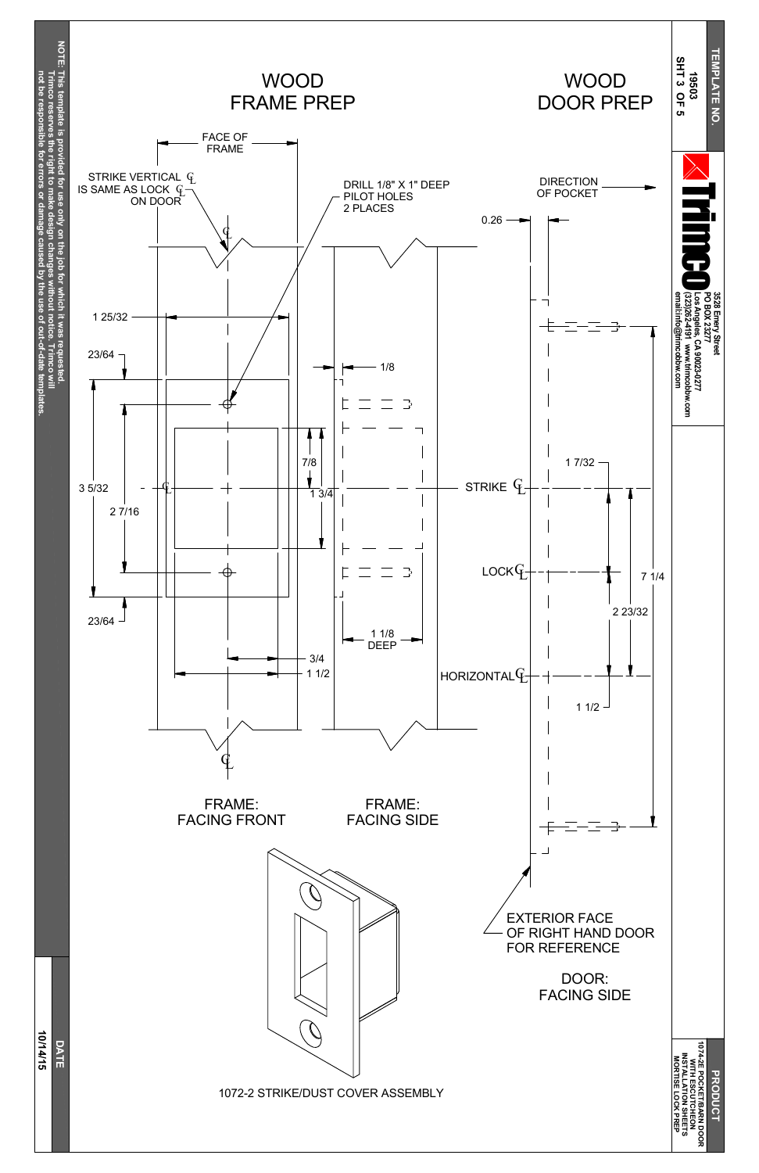**1074-2E PO C KET/B A RN D O O R WIFH ESCUTCHEON INSTALLATION SHEETS M O RTISE LO C K** アカロー<br>中田

**DRODUC** 

10/14/15 **10/14/15 D A T E** 1072-2 STRIKE/DUST COVER ASSEMBLY



EXTERIOR FACE OF RIGHT HAND DOOR FOR REFERENCE

> DOOR: FACING SIDE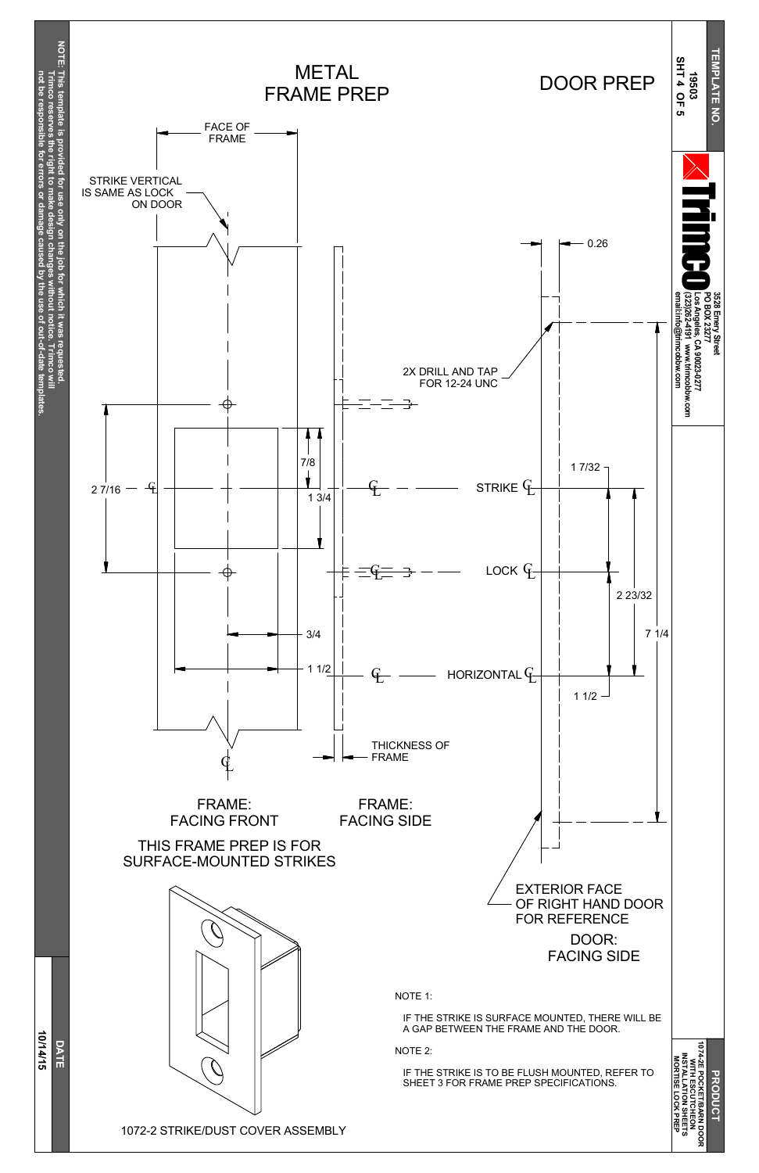**10/14/15 D A T E**

10/14/15





DOOR: FACING SIDE EXTERIOR FACE OF RIGHT HAND DOOR FOR REFERENCE

1072-2 STRIKE/DUST COVER ASSEMBLY

NOTE 1:

IF THE STRIKE IS SURFACE MOUNTED, THERE WILL BE A GAP BETWEEN THE FRAME AND THE DOOR.

NOTE 2:

IF THE STRIKE IS TO BE FLUSH MOUNTED, REFER TO SHEET 3 FOR FRAME PREP SPECIFICATIONS.

**DRODUC 1074-2E PO C KET/B A RN D O O R** WITH ES<br>NSTALLA<br>MORTISE **ESCUTCHEON INSTALLATION SHEETS LO C K** アカロー<br>中田